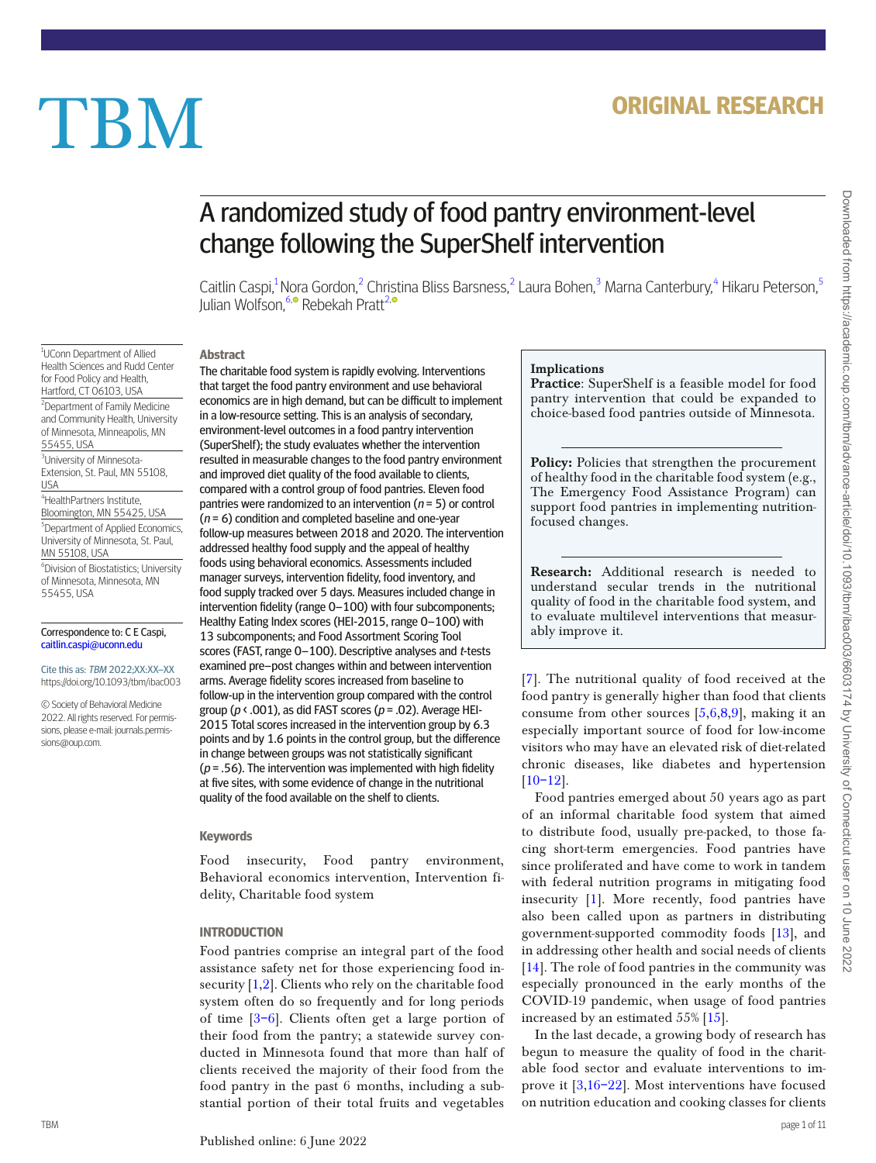# **ORIGINAL RESEARCH**

# TBM

# A randomized study of food pantry environment-level change following the SuperShelf intervention

Caitlin Caspi,<sup>[1](#page-0-0)</sup> N[ora](https://orcid.org/0000-0003-3561-8276) Gordon,<sup>[2](#page-0-1)</sup> Christina Bliss Barsness,<sup>2</sup> Laura Bohen,<sup>[3](#page-0-2)</sup> Marna Canterbury,<sup>[4](#page-0-3)</sup> Hikaru Peterson,<sup>[5](#page-0-4)</sup> Julian Wolfson,<sup>[6,](#page-0-5)0</sup> Rebekah Pratt<sup>[2](#page-0-1)[,](https://orcid.org/0000-0002-2032-0875)</sup>

<span id="page-0-0"></span><sup>1</sup>UConn Department of Allied Health Sciences and Rudd Center for Food Policy and Health, Hartford, CT 06103, USA

<span id="page-0-1"></span><sup>2</sup>Department of Family Medicine and Community Health, University of Minnesota, Minneapolis, MN 55455, USA

<span id="page-0-2"></span><sup>3</sup>University of Minnesota-Extension, St. Paul, MN 55108, USA

<span id="page-0-3"></span>4 HealthPartners Institute, Bloomington, MN 55425, USA

<span id="page-0-4"></span>5 Department of Applied Economics, University of Minnesota, St. Paul, MN 55108, USA

<span id="page-0-5"></span>6 Division of Biostatistics; University of Minnesota, Minnesota, MN 55455, USA

#### Correspondence to: C E Caspi, [caitlin.caspi@uconn.edu](mailto:caitlin.caspi@uconn.edu?subject=)

Cite this as: TBM 2022;XX:XX–XX https://doi.org/10.1093/tbm/ibac003

© Society of Behavioral Medicine 2022. All rights reserved. For permissions, please e-mail: journals.permissions@oup.com.

The charitable food system is rapidly evolving. Interventions that target the food pantry environment and use behavioral economics are in high demand, but can be difficult to implement in a low-resource setting. This is an analysis of secondary, environment-level outcomes in a food pantry intervention (SuperShelf); the study evaluates whether the intervention resulted in measurable changes to the food pantry environment and improved diet quality of the food available to clients, compared with a control group of food pantries. Eleven food pantries were randomized to an intervention ( $n = 5$ ) or control  $(n = 6)$  condition and completed baseline and one-year follow-up measures between 2018 and 2020. The intervention addressed healthy food supply and the appeal of healthy foods using behavioral economics. Assessments included manager surveys, intervention fdelity, food inventory, and food supply tracked over 5 days. Measures included change in intervention fdelity (range 0–100) with four subcomponents; Healthy Eating Index scores (HEI-2015, range 0–100) with 13 subcomponents; and Food Assortment Scoring Tool scores (FAST, range 0–100). Descriptive analyses and t-tests examined pre–post changes within and between intervention arms. Average fdelity scores increased from baseline to follow-up in the intervention group compared with the control group ( $p \triangleleft .001$ ), as did FAST scores ( $p = .02$ ). Average HEI-2015 Total scores increased in the intervention group by 6.3 points and by 1.6 points in the control group, but the diference in change between groups was not statistically signifcant ( $p = .56$ ). The intervention was implemented with high fidelity at five sites, with some evidence of change in the nutritional quality of the food available on the shelf to clients.

## **Keywords**

**Abstract**

Food insecurity, Food pantry environment, Behavioral economics intervention, Intervention fidelity, Charitable food system

# **INTRODUCTION**

<span id="page-0-8"></span><span id="page-0-7"></span><span id="page-0-6"></span>Food pantries comprise an integral part of the food assistance safety net for those experiencing food insecurity [\[1](#page-10-0)[,2](#page-10-1)]. Clients who rely on the charitable food system often do so frequently and for long periods of time [\[3](#page-10-2)[–6](#page-10-3)]. Clients often get a large portion of their food from the pantry; a statewide survey conducted in Minnesota found that more than half of clients received the majority of their food from the food pantry in the past 6 months, including a substantial portion of their total fruits and vegetables

## Implications

Practice: SuperShelf is a feasible model for food pantry intervention that could be expanded to choice-based food pantries outside of Minnesota.

Policy: Policies that strengthen the procurement of healthy food in the charitable food system (e.g., The Emergency Food Assistance Program) can support food pantries in implementing nutritionfocused changes.

Research: Additional research is needed to understand secular trends in the nutritional quality of food in the charitable food system, and to evaluate multilevel interventions that measurably improve it.

<span id="page-0-12"></span><span id="page-0-11"></span><span id="page-0-10"></span><span id="page-0-9"></span>[[7\]](#page-10-4). The nutritional quality of food received at the food pantry is generally higher than food that clients consume from other sources [\[5](#page-10-5)[,6](#page-10-3),[8](#page-10-6)[,9](#page-10-7)], making it an especially important source of food for low-income visitors who may have an elevated risk of diet-related chronic diseases, like diabetes and hypertension [[10](#page-10-8)–[12\]](#page-10-9).

<span id="page-0-13"></span>Food pantries emerged about 50 years ago as part of an informal charitable food system that aimed to distribute food, usually pre-packed, to those facing short-term emergencies. Food pantries have since proliferated and have come to work in tandem with federal nutrition programs in mitigating food insecurity [\[1](#page-10-0)]. More recently, food pantries have also been called upon as partners in distributing government-supported commodity foods [13], and in addressing other health and social needs of clients [14]. The role of food pantries in the community was especially pronounced in the early months of the COVID-19 pandemic, when usage of food pantries increased by an estimated 55% [15].

<span id="page-0-14"></span>In the last decade, a growing body of research has begun to measure the quality of food in the charitable food sector and evaluate interventions to improve it [[3,](#page-10-2)[16](#page-10-10)[–22](#page-10-11)]. Most interventions have focused on nutrition education and cooking classes for clients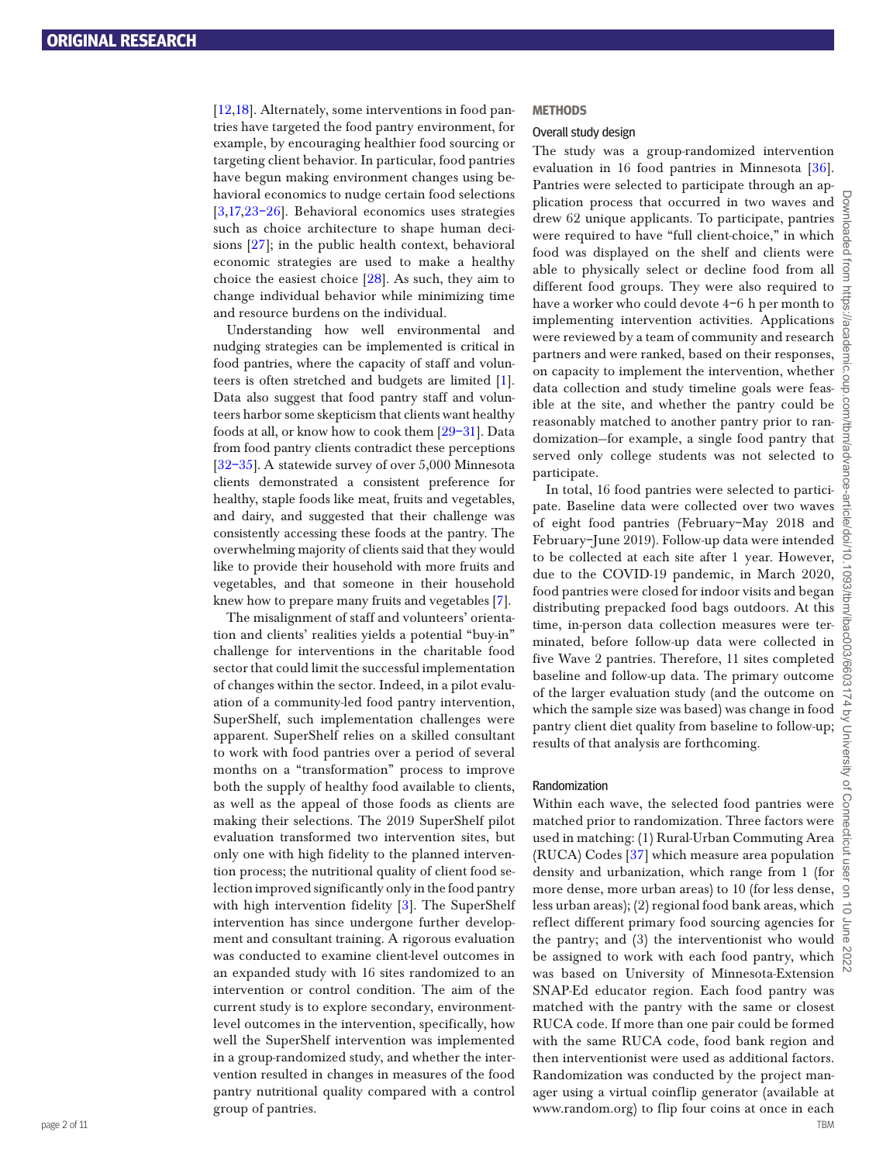<span id="page-1-2"></span><span id="page-1-1"></span><span id="page-1-0"></span>[[12,](#page-10-9)[18](#page-10-12)]. Alternately, some interventions in food pantries have targeted the food pantry environment, for example, by encouraging healthier food sourcing or targeting client behavior. In particular, food pantries have begun making environment changes using behavioral economics to nudge certain food selections [[3](#page-10-2)[,17,](#page-10-13)[23](#page-10-14)–[26\]](#page-10-15). Behavioral economics uses strategies such as choice architecture to shape human decisions [[27\]](#page-10-16); in the public health context, behavioral economic strategies are used to make a healthy choice the easiest choice [\[28](#page-10-17)]. As such, they aim to change individual behavior while minimizing time and resource burdens on the individual.

<span id="page-1-6"></span><span id="page-1-3"></span>Understanding how well environmental and nudging strategies can be implemented is critical in food pantries, where the capacity of staff and volunteers is often stretched and budgets are limited [\[1\]](#page-10-0). Data also suggest that food pantry staff and volunteers harbor some skepticism that clients want healthy foods at all, or know how to cook them [\[29–](#page-10-18)[31\]](#page-10-19). Data from food pantry clients contradict these perceptions [[32](#page-10-20)[–35](#page-10-21)]. A statewide survey of over 5,000 Minnesota clients demonstrated a consistent preference for healthy, staple foods like meat, fruits and vegetables, and dairy, and suggested that their challenge was consistently accessing these foods at the pantry. The overwhelming majority of clients said that they would like to provide their household with more fruits and vegetables, and that someone in their household knew how to prepare many fruits and vegetables [[7\]](#page-10-4).

The misalignment of staff and volunteers' orientation and clients' realities yields a potential "buy-in" challenge for interventions in the charitable food sector that could limit the successful implementation of changes within the sector. Indeed, in a pilot evaluation of a community-led food pantry intervention, SuperShelf, such implementation challenges were apparent. SuperShelf relies on a skilled consultant to work with food pantries over a period of several months on a "transformation" process to improve both the supply of healthy food available to clients, as well as the appeal of those foods as clients are making their selections. The 2019 SuperShelf pilot evaluation transformed two intervention sites, but only one with high fidelity to the planned intervention process; the nutritional quality of client food selection improved significantly only in the food pantry with high intervention fidelity [\[3](#page-10-2)]. The SuperShelf intervention has since undergone further development and consultant training. A rigorous evaluation was conducted to examine client-level outcomes in an expanded study with 16 sites randomized to an intervention or control condition. The aim of the current study is to explore secondary, environmentlevel outcomes in the intervention, specifically, how well the SuperShelf intervention was implemented in a group-randomized study, and whether the intervention resulted in changes in measures of the food pantry nutritional quality compared with a control group of pantries.

#### **METHODS**

#### Overall study design

<span id="page-1-4"></span>The study was a group-randomized intervention evaluation in 16 food pantries in Minnesota [36]. Pantries were selected to participate through an application process that occurred in two waves and drew 62 unique applicants. To participate, pantries were required to have "full client-choice," in which food was displayed on the shelf and clients were able to physically select or decline food from all different food groups. They were also required to have a worker who could devote 4–6 h per month to implementing intervention activities. Applications were reviewed by a team of community and research partners and were ranked, based on their responses, on capacity to implement the intervention, whether data collection and study timeline goals were feasible at the site, and whether the pantry could be reasonably matched to another pantry prior to randomization—for example, a single food pantry that served only college students was not selected to participate.

<span id="page-1-5"></span>In total, 16 food pantries were selected to participate. Baseline data were collected over two waves of eight food pantries (February–May 2018 and February–June 2019). Follow-up data were intended to be collected at each site after 1 year. However, due to the COVID-19 pandemic, in March 2020, food pantries were closed for indoor visits and began distributing prepacked food bags outdoors. At this time, in-person data collection measures were terminated, before follow-up data were collected in five Wave 2 pantries. Therefore, 11 sites completed baseline and follow-up data. The primary outcome of the larger evaluation study (and the outcome on which the sample size was based) was change in food pantry client diet quality from baseline to follow-up; results of that analysis are forthcoming.

#### Randomization

page 2 of 11 TBM Within each wave, the selected food pantries were matched prior to randomization. Three factors were used in matching: (1) Rural-Urban Commuting Area (RUCA) Codes [37] which measure area population density and urbanization, which range from 1 (for more dense, more urban areas) to 10 (for less dense, less urban areas); (2) regional food bank areas, which reflect different primary food sourcing agencies for the pantry; and (3) the interventionist who would be assigned to work with each food pantry, which was based on University of Minnesota-Extension SNAP-Ed educator region. Each food pantry was matched with the pantry with the same or closest RUCA code. If more than one pair could be formed with the same RUCA code, food bank region and then interventionist were used as additional factors. Randomization was conducted by the project manager using a virtual coinflip generator (available at www.random.org) to flip four coins at once in each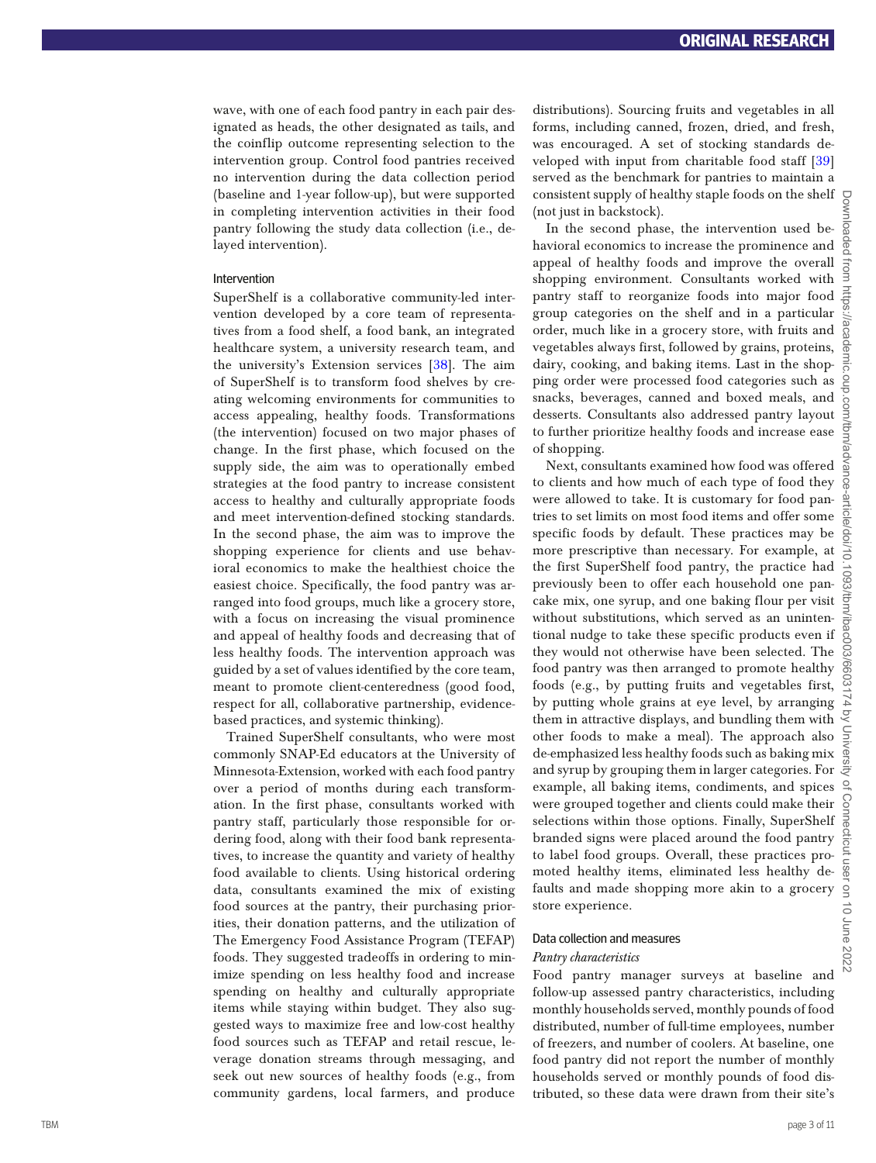wave, with one of each food pantry in each pair des ignated as heads, the other designated as tails, and the coinflip outcome representing selection to the intervention group. Control food pantries received no intervention during the data collection period (baseline and 1-year follow-up), but were supported in completing intervention activities in their food pantry following the study data collection (i.e., de layed intervention).

### Intervention

SuperShelf is a collaborative community-led intervention developed by a core team of representatives from a food shelf, a food bank, an integrated healthcare system, a university research team, and the university's Extension services [38]. The aim of SuperShelf is to transform food shelves by cre ating welcoming environments for communities to access appealing, healthy foods. Transformations (the intervention) focused on two major phases of change. In the first phase, which focused on the supply side, the aim was to operationally embed strategies at the food pantry to increase consistent access to healthy and culturally appropriate foods and meet intervention-defined stocking standards. In the second phase, the aim was to improve the shopping experience for clients and use behav ioral economics to make the healthiest choice the easiest choice. Specifically, the food pantry was arranged into food groups, much like a grocery store, with a focus on increasing the visual prominence and appeal of healthy foods and decreasing that of less healthy foods. The intervention approach was guided by a set of values identified by the core team, meant to promote client-centeredness (good food, respect for all, collaborative partnership, evidencebased practices, and systemic thinking).

Trained SuperShelf consultants, who were most commonly SNAP-Ed educators at the University of Minnesota-Extension, worked with each food pantry over a period of months during each transform ation. In the first phase, consultants worked with pantry staff, particularly those responsible for ordering food, along with their food bank representatives, to increase the quantity and variety of healthy food available to clients. Using historical ordering data, consultants examined the mix of existing food sources at the pantry, their purchasing priorities, their donation patterns, and the utilization of The Emergency Food Assistance Program (TEFAP) foods. They suggested tradeoffs in ordering to min imize spending on less healthy food and increase spending on healthy and culturally appropriate items while staying within budget. They also suggested ways to maximize free and low-cost healthy food sources such as TEFAP and retail rescue, le verage donation streams through messaging, and seek out new sources of healthy foods (e.g., from community gardens, local farmers, and produce

distributions). Sourcing fruits and vegetables in all forms, including canned, frozen, dried, and fresh, was encouraged. A set of stocking standards de veloped with input from charitable food staff [39] served as the benchmark for pantries to maintain a consistent supply of healthy staple foods on the shelf (not just in backstock).

In the second phase, the intervention used behavioral economics to increase the prominence and appeal of healthy foods and improve the overall shopping environment. Consultants worked with pantry staff to reorganize foods into major food group categories on the shelf and in a particular order, much like in a grocery store, with fruits and vegetables always first, followed by grains, proteins, dairy, cooking, and baking items. Last in the shop ping order were processed food categories such as snacks, beverages, canned and boxed meals, and desserts. Consultants also addressed pantry layout to further prioritize healthy foods and increase ease of shopping.

Next, consultants examined how food was offered to clients and how much of each type of food they were allowed to take. It is customary for food pan tries to set limits on most food items and offer some specific foods by default. These practices may be more prescriptive than necessary. For example, at the first SuperShelf food pantry, the practice had previously been to offer each household one pan cake mix, one syrup, and one baking flour per visit without substitutions, which served as an uninten tional nudge to take these specific products even if they would not otherwise have been selected. The food pantry was then arranged to promote healthy foods (e.g., by putting fruits and vegetables first, by putting whole grains at eye level, by arranging them in attractive displays, and bundling them with other foods to make a meal). The approach also de-emphasized less healthy foods such as baking mix and syrup by grouping them in larger categories. For example, all baking items, condiments, and spices were grouped together and clients could make their selections within those options. Finally, SuperShelf branded signs were placed around the food pantry to label food groups. Overall, these practices pro moted healthy items, eliminated less healthy de faults and made shopping more akin to a grocery store experience.

#### Data collection and measures

#### *Pantry characteristics*

Food pantry manager surveys at baseline and follow-up assessed pantry characteristics, including monthly households served, monthly pounds of food distributed, number of full-time employees, number of freezers, and number of coolers. At baseline, one food pantry did not report the number of monthly households served or monthly pounds of food dis tributed, so these data were drawn from their site's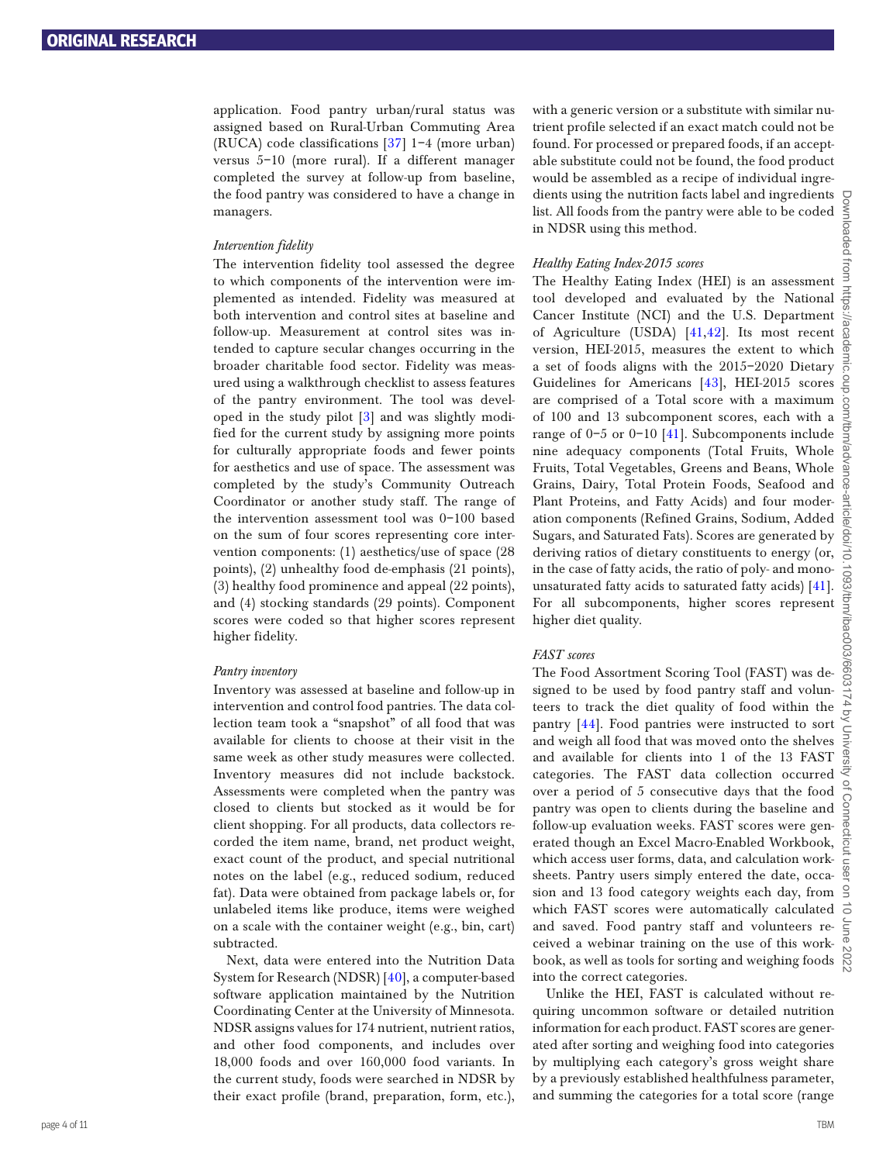application. Food pantry urban/rural status was assigned based on Rural-Urban Commuting Area (RUCA) code classifications [37] 1–4 (more urban) versus 5–10 (more rural). If a different manager completed the survey at follow-up from baseline, the food pantry was considered to have a change in managers.

#### *Intervention fidelity*

The intervention fidelity tool assessed the degree to which components of the intervention were implemented as intended. Fidelity was measured at both intervention and control sites at baseline and follow-up. Measurement at control sites was intended to capture secular changes occurring in the broader charitable food sector. Fidelity was measured using a walkthrough checklist to assess features of the pantry environment. The tool was developed in the study pilot [[3\]](#page-10-2) and was slightly modified for the current study by assigning more points for culturally appropriate foods and fewer points for aesthetics and use of space. The assessment was completed by the study's Community Outreach Coordinator or another study staff. The range of the intervention assessment tool was 0–100 based on the sum of four scores representing core intervention components: (1) aesthetics/use of space (28 points), (2) unhealthy food de-emphasis (21 points), (3) healthy food prominence and appeal (22 points), and (4) stocking standards (29 points). Component scores were coded so that higher scores represent higher fidelity.

#### *Pantry inventory*

Inventory was assessed at baseline and follow-up in intervention and control food pantries. The data collection team took a "snapshot" of all food that was available for clients to choose at their visit in the same week as other study measures were collected. Inventory measures did not include backstock. Assessments were completed when the pantry was closed to clients but stocked as it would be for client shopping. For all products, data collectors recorded the item name, brand, net product weight, exact count of the product, and special nutritional notes on the label (e.g., reduced sodium, reduced fat). Data were obtained from package labels or, for unlabeled items like produce, items were weighed on a scale with the container weight (e.g., bin, cart) subtracted.

Next, data were entered into the Nutrition Data System for Research (NDSR) [40], a computer-based software application maintained by the Nutrition Coordinating Center at the University of Minnesota. NDSR assigns values for 174 nutrient, nutrient ratios, and other food components, and includes over 18,000 foods and over 160,000 food variants. In the current study, foods were searched in NDSR by their exact profile (brand, preparation, form, etc.),

with a generic version or a substitute with similar nutrient profile selected if an exact match could not be found. For processed or prepared foods, if an acceptable substitute could not be found, the food product would be assembled as a recipe of individual ingredients using the nutrition facts label and ingredients list. All foods from the pantry were able to be coded in NDSR using this method.

#### *Healthy Eating Index-2015 scores*

<span id="page-3-1"></span><span id="page-3-0"></span>The Healthy Eating Index (HEI) is an assessment tool developed and evaluated by the National Cancer Institute (NCI) and the U.S. Department of Agriculture (USDA) [[41](#page-10-22)[,42](#page-10-23)]. Its most recent version, HEI-2015, measures the extent to which a set of foods aligns with the 2015–2020 Dietary Guidelines for Americans [43], HEI-2015 scores are comprised of a Total score with a maximum of 100 and 13 subcomponent scores, each with a range of 0–5 or 0–10 [[41](#page-10-22)]. Subcomponents include nine adequacy components (Total Fruits, Whole Fruits, Total Vegetables, Greens and Beans, Whole Grains, Dairy, Total Protein Foods, Seafood and Plant Proteins, and Fatty Acids) and four moderation components (Refined Grains, Sodium, Added Sugars, and Saturated Fats). Scores are generated by deriving ratios of dietary constituents to energy (or, in the case of fatty acids, the ratio of poly- and monounsaturated fatty acids to saturated fatty acids) [\[41\]](#page-10-22). For all subcomponents, higher scores represent higher diet quality.

#### *FAST scores*

<span id="page-3-2"></span>The Food Assortment Scoring Tool (FAST) was designed to be used by food pantry staff and volunteers to track the diet quality of food within the pantry [[44\]](#page-10-24). Food pantries were instructed to sort and weigh all food that was moved onto the shelves and available for clients into 1 of the 13 FAST categories. The FAST data collection occurred over a period of 5 consecutive days that the food pantry was open to clients during the baseline and follow-up evaluation weeks. FAST scores were generated though an Excel Macro-Enabled Workbook, which access user forms, data, and calculation worksheets. Pantry users simply entered the date, occasion and 13 food category weights each day, from which FAST scores were automatically calculated and saved. Food pantry staff and volunteers received a webinar training on the use of this workbook, as well as tools for sorting and weighing foods into the correct categories.

Unlike the HEI, FAST is calculated without requiring uncommon software or detailed nutrition information for each product. FAST scores are generated after sorting and weighing food into categories by multiplying each category's gross weight share by a previously established healthfulness parameter, and summing the categories for a total score (range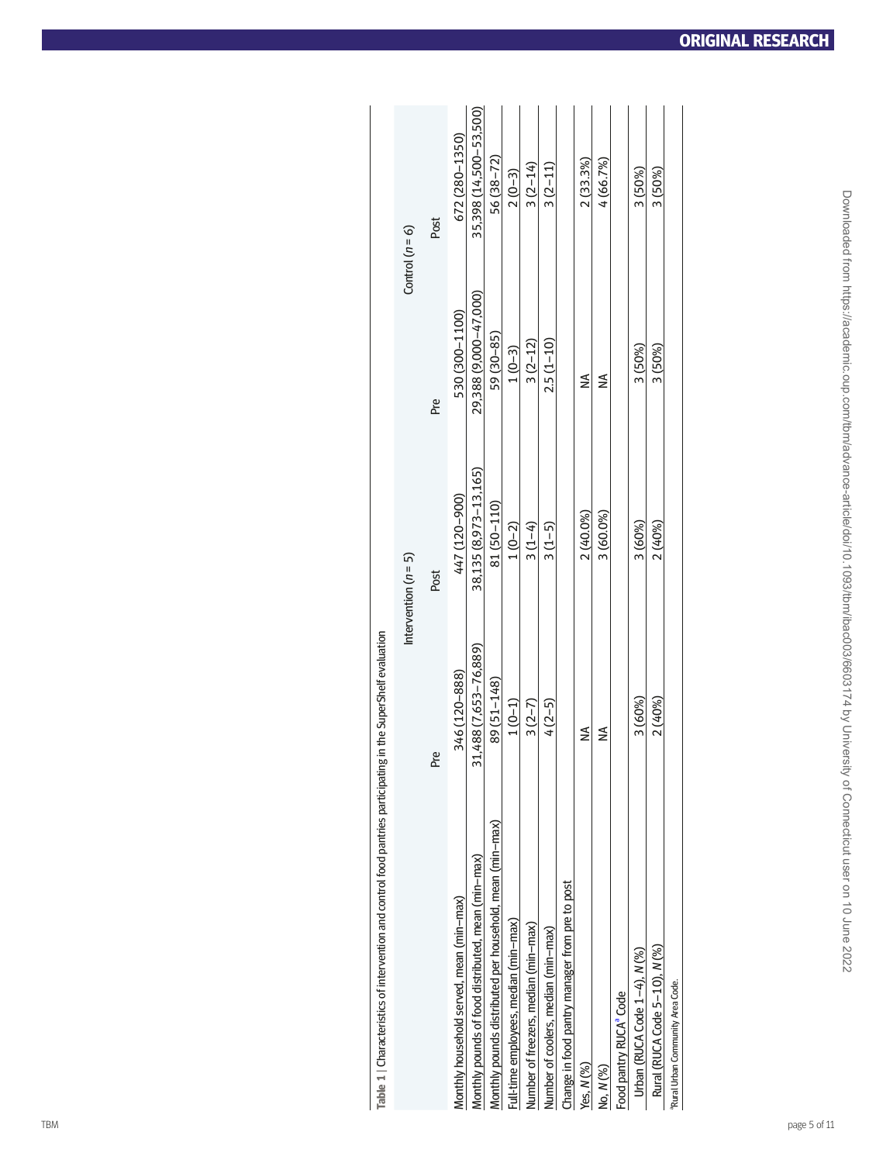| Table 1   Characteristics of intervention and control food pantries participating in the SuperShelf evaluation |                                        |                        |                       |                        |
|----------------------------------------------------------------------------------------------------------------|----------------------------------------|------------------------|-----------------------|------------------------|
|                                                                                                                |                                        | Intervention $(n = 5)$ |                       | Control $(n = 6)$      |
|                                                                                                                | Pre                                    | Post                   | Pre                   | Post                   |
| Monthly household served, mean (min-max)                                                                       | 346 (120-888)                          | 447 (120-900)          | 530 (300-1100)        | 672 (280-1350)         |
| Monthly pounds of food distributed, mean (min-max)                                                             | ,488 (7,653-76,889)<br>$\overline{31}$ | 38,135 (8,973-13,165)  | 29,388 (9,000-47,000) | 35,398 (14,500-53,500) |
| Monthly pounds distributed per household, mean (min-max)                                                       | 89 (51-148)                            | 81 (50-110)            | 59 (30-85)            | 56 (38-72)             |
| Full-time employees, median (min-max)                                                                          | $1(0-1)$                               | $1(0-2)$               | $1(0-3)$              | $2(0-3)$               |
| Number of freezers, median (min-max)                                                                           | $3(2-7)$                               | $3(1-4)$               | $3(2-12)$             | $3(2 - 14)$            |
| Number of coolers, median (min-max)                                                                            | $4(2-5)$                               | $3(1-5)$               | $2.5(1 - 10)$         | $3(2-11)$              |
| Change in food pantry manager from pre to post                                                                 |                                        |                        |                       |                        |
| Yes, N (%)                                                                                                     | ≨                                      | 2 (40.0%)              | $\lessgtr$            | 2(33.3%)               |
| No, N (%)                                                                                                      | $\lessgtr$                             | 3 (60.0%)              | $\lessgtr$            | 4(66.7%)               |
| Food pantry RUCA <sup>ª</sup> Code                                                                             |                                        |                        |                       |                        |
| Urban (RUCA Code $1-4$ ), $N$ (%)                                                                              | 3 (60%)                                | 3 (60%)                | 3 (50%)               | 3 (50%)                |
| Rural (RUCA Code 5-10), N (%)                                                                                  | 2 (40%)                                | 2 (40%)                | 3 (50%)               | 3 (50%)                |
| <sup>a</sup> Rural Urban Community Area Code.                                                                  |                                        |                        |                       |                        |
|                                                                                                                |                                        |                        |                       |                        |
|                                                                                                                |                                        |                        |                       |                        |
| page 5 of 11                                                                                                   |                                        |                        |                       |                        |
|                                                                                                                |                                        |                        |                       |                        |

<span id="page-4-1"></span><span id="page-4-0"></span>

| J                        |
|--------------------------|
|                          |
|                          |
|                          |
|                          |
|                          |
|                          |
|                          |
|                          |
|                          |
|                          |
|                          |
|                          |
| Ì                        |
|                          |
|                          |
|                          |
|                          |
|                          |
|                          |
| l                        |
|                          |
|                          |
|                          |
|                          |
|                          |
|                          |
| ¢                        |
|                          |
|                          |
|                          |
|                          |
|                          |
|                          |
|                          |
|                          |
|                          |
|                          |
|                          |
|                          |
|                          |
| l                        |
|                          |
|                          |
|                          |
|                          |
|                          |
|                          |
|                          |
|                          |
|                          |
|                          |
|                          |
|                          |
|                          |
| i<br>i                   |
|                          |
|                          |
|                          |
|                          |
| l                        |
|                          |
|                          |
|                          |
|                          |
|                          |
| i                        |
|                          |
| ֚֘֝֬                     |
|                          |
|                          |
|                          |
|                          |
| I                        |
|                          |
|                          |
| l                        |
|                          |
|                          |
|                          |
|                          |
| l                        |
|                          |
|                          |
| $\overline{\phantom{a}}$ |
|                          |
|                          |
|                          |
|                          |
|                          |
|                          |
|                          |
|                          |
|                          |
| ī                        |
|                          |
| Ī                        |
|                          |
|                          |
|                          |
| 4<br>ų                   |
| Ü                        |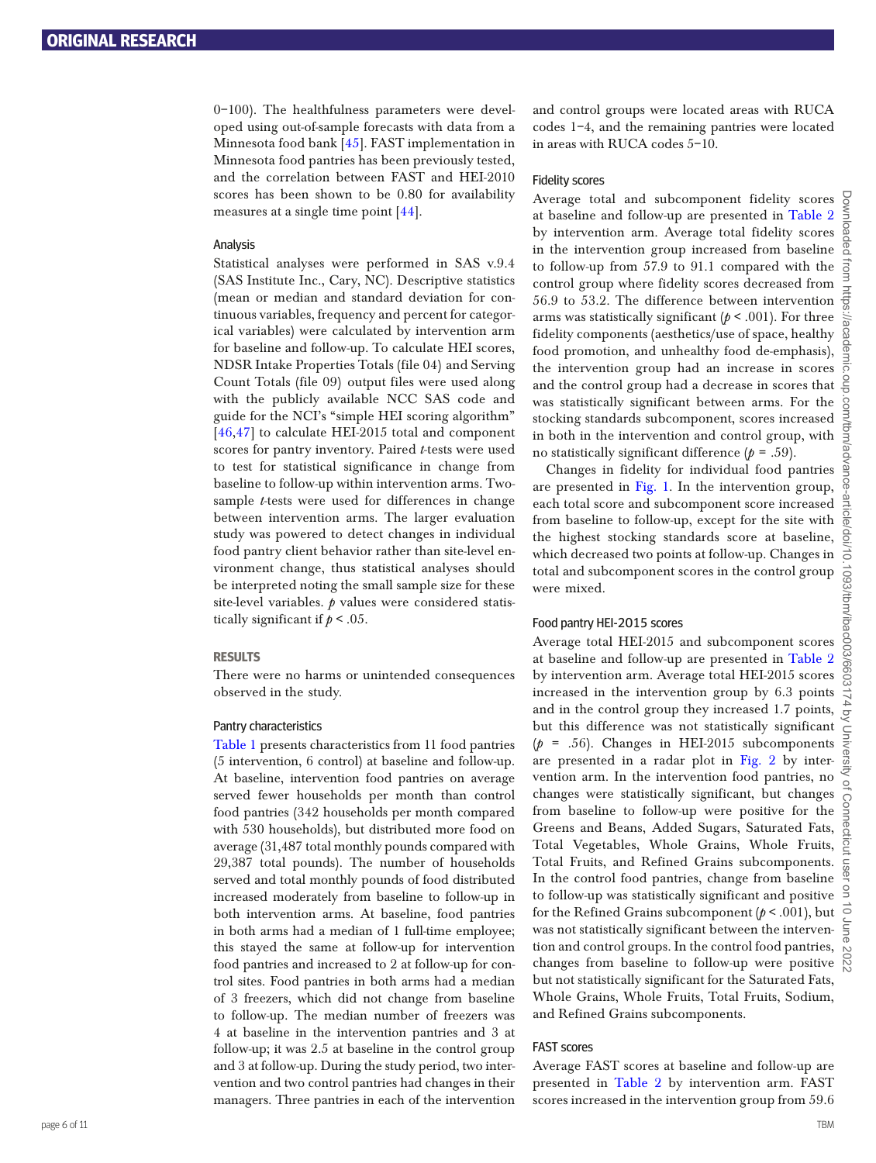0–100). The healthfulness parameters were developed using out-of-sample forecasts with data from a Minnesota food bank [\[45](#page-10-25)]. FAST implementation in Minnesota food pantries has been previously tested, and the correlation between FAST and HEI-2010 scores has been shown to be 0.80 for availability measures at a single time point [[44\]](#page-10-24).

#### Analysis

Statistical analyses were performed in SAS v.9.4 (SAS Institute Inc., Cary, NC). Descriptive statistics (mean or median and standard deviation for continuous variables, frequency and percent for categorical variables) were calculated by intervention arm for baseline and follow-up. To calculate HEI scores, NDSR Intake Properties Totals (file 04) and Serving Count Totals (file 09) output files were used along with the publicly available NCC SAS code and guide for the NCI's "simple HEI scoring algorithm" [46,47] to calculate HEI-2015 total and component scores for pantry inventory. Paired *t*-tests were used to test for statistical significance in change from baseline to follow-up within intervention arms. Twosample *t*-tests were used for differences in change between intervention arms. The larger evaluation study was powered to detect changes in individual food pantry client behavior rather than site-level environment change, thus statistical analyses should be interpreted noting the small sample size for these site-level variables. *p* values were considered statistically significant if  $p < .05$ .

### **RESULTS**

There were no harms or unintended consequences observed in the study.

#### Pantry characteristics

[Table 1](#page-4-1) presents characteristics from 11 food pantries (5 intervention, 6 control) at baseline and follow-up. At baseline, intervention food pantries on average served fewer households per month than control food pantries (342 households per month compared with 530 households), but distributed more food on average (31,487 total monthly pounds compared with 29,387 total pounds). The number of households served and total monthly pounds of food distributed increased moderately from baseline to follow-up in both intervention arms. At baseline, food pantries in both arms had a median of 1 full-time employee; this stayed the same at follow-up for intervention food pantries and increased to 2 at follow-up for control sites. Food pantries in both arms had a median of 3 freezers, which did not change from baseline to follow-up. The median number of freezers was 4 at baseline in the intervention pantries and 3 at follow-up; it was 2.5 at baseline in the control group and 3 at follow-up. During the study period, two intervention and two control pantries had changes in their managers. Three pantries in each of the intervention

<span id="page-5-0"></span>and control groups were located areas with RUCA codes 1–4, and the remaining pantries were located in areas with RUCA codes 5–10.

#### Fidelity scores

Average total and subcomponent fidelity scores at baseline and follow-up are presented in [Table 2](#page-6-0) by intervention arm. Average total fidelity scores in the intervention group increased from baseline  $a$ to follow-up from 57.9 to 91.1 compared with the control group where fidelity scores decreased from 56.9 to 53.2. The difference between intervention arms was statistically significant (*p* < .001). For three fidelity components (aesthetics/use of space, healthy food promotion, and unhealthy food de-emphasis), the intervention group had an increase in scores and the control group had a decrease in scores that was statistically significant between arms. For the stocking standards subcomponent, scores increased in both in the intervention and control group, with no statistically significant difference  $(p = .59)$ .

Changes in fidelity for individual food pantries are presented in [Fig. 1.](#page-8-0) In the intervention group, each total score and subcomponent score increased from baseline to follow-up, except for the site with the highest stocking standards score at baseline, which decreased two points at follow-up. Changes in total and subcomponent scores in the control group were mixed.

#### Food pantry HEI-2015 scores

Average total HEI-2015 and subcomponent scores at baseline and follow-up are presented in [Table 2](#page-6-0) by intervention arm. Average total HEI-2015 scores increased in the intervention group by 6.3 points and in the control group they increased 1.7 points, but this difference was not statistically significant  $(p = .56)$ . Changes in HEI-2015 subcomponents are presented in a radar plot in [Fig. 2](#page-7-0) by intervention arm. In the intervention food pantries, no changes were statistically significant, but changes from baseline to follow-up were positive for the Greens and Beans, Added Sugars, Saturated Fats, Total Vegetables, Whole Grains, Whole Fruits, Total Fruits, and Refined Grains subcomponents. In the control food pantries, change from baseline to follow-up was statistically significant and positive for the Refined Grains subcomponent (*p* < .001), but was not statistically significant between the intervention and control groups. In the control food pantries, changes from baseline to follow-up were positive  $\mathbb{R}$ but not statistically significant for the Saturated Fats, Whole Grains, Whole Fruits, Total Fruits, Sodium, and Refined Grains subcomponents.

#### FAST scores

Average FAST scores at baseline and follow-up are presented in [Table 2](#page-6-0) by intervention arm. FAST scores increased in the intervention group from 59.6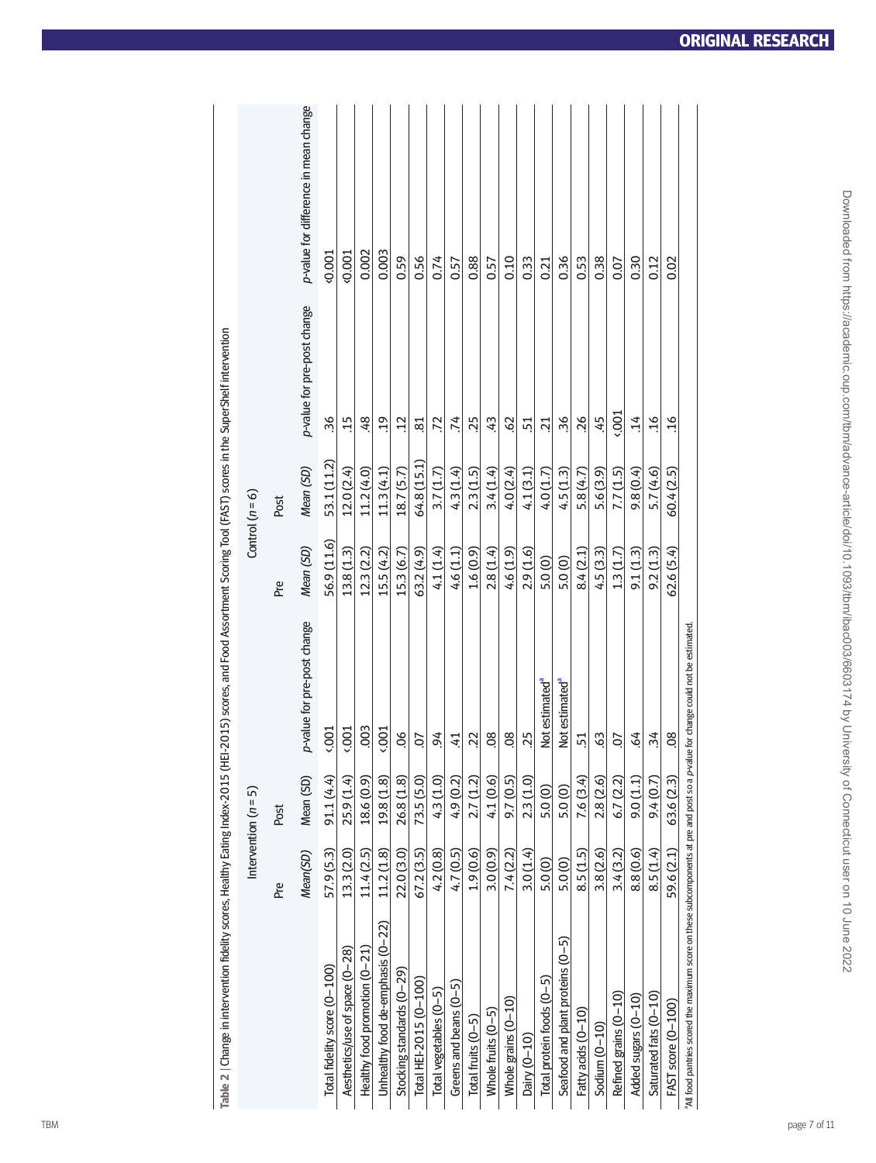| Table 2   Change in intervention fidelity scores, Healthy Eating Index-2015 (HEI-2015) scores, and Food Assortment Scoring Tool (FAST) scores in the SuperShelf Intervention |                 |                        |                             |                  |                   |                             |                                       |
|------------------------------------------------------------------------------------------------------------------------------------------------------------------------------|-----------------|------------------------|-----------------------------|------------------|-------------------|-----------------------------|---------------------------------------|
|                                                                                                                                                                              |                 | Intervention $(n = 5)$ |                             |                  | Control $(n = 6)$ |                             |                                       |
|                                                                                                                                                                              | Mean(SD)<br>Pre | Mean (SD)<br>Post      | p-value for pre-post change | Mean (SD)<br>Pre | Mean (SD)<br>Post | p-value for pre-post change | p-value for difference in mean change |
| Total fidelity score (0-100)                                                                                                                                                 | 57.9 (5.3)      | 91.1 (4.4)             | 001                         | 56.9 (11.6)      | 53.1 (11.2)       | 36                          | 0.001                                 |
| Aesthetics/use of space (0-28)                                                                                                                                               | 13.3 (2.0)      | 25.9 (1.4)             | 001                         | 13.8(1.3)        | 12.0 (2.4)        | $\ddot{1}$                  | 40.001                                |
| Healthy food promotion (0-21)                                                                                                                                                | 11.4(2.5)       | 18.6 (0.9)             | .003                        | 12.3(2.2)        | 11.2 (4.0)        | 48                          | 0.002                                 |
| Unhealthy food de-emphasis (0-22)                                                                                                                                            | 11.2(1.8)       | 19.8 (1.8)             | 0.001                       | 15.5(4.2)        | 11.3 (4.1)        | $\ddot{.}19$                | 0.003                                 |
| Stocking standards (0-29)                                                                                                                                                    | 22.0 (3.0)      | 26.8 (1.8)             | 60                          | 15.3 (6.7)       | 18.7 (5.7)        | $\ddot{12}$                 | 0.59                                  |
| Total HEI-2015 (0-100)                                                                                                                                                       | 67.2 (3.5)      | 73.5 (5.0)             | 5.                          | 63.2(4.9)        | 64.8 (15.1)       | $\overline{81}$             | 0.56                                  |
| Total vegetables (0-5)                                                                                                                                                       | 4.2(0.8)        | 4.3 (1.0)              | 94                          | 4.1 (1.4)        | 3.7(1.7)          | 72                          | 0.74                                  |
| Greens and beans $(0-5)$                                                                                                                                                     | 4.7 (0.5)       | 4.9 (0.2)              | $\ddot{=}$                  | 4.6 (1.1)        | 4.3(1.4)          | .74                         | 0.57                                  |
| Total fruits $(0-5)$                                                                                                                                                         | 1.9(0.6)        | 2.7(1.2)               | 22                          | 1.6(0.9)         | 2.3(1.5)          | 25                          | 0.88                                  |
| Whole fruits $(0-5)$                                                                                                                                                         | 3.0(0.9)        | 4.1 (0.6)              | 08                          | 2.8(1.4)         | 3.4(1.4)          | 43                          | 0.57                                  |
| Whole grains $(0-10)$                                                                                                                                                        | 7.4(2.2)        | 9.7 (0.5)              | 08                          | 4.6 (1.9)        | 4.0(2.4)          | .62                         | 0.10                                  |
| Dairy (0-10)                                                                                                                                                                 | 3.0(1.4)        | 2.3(1.0)               | 25                          | 2.9(1.6)         | 4.1 (3.1)         | 51                          | 0.33                                  |
| Total protein foods (0-5)                                                                                                                                                    | 5.0 (0)         | 5.0 (0)                | Not estimated <sup>®</sup>  | 5.0(0)           | 4.0 (1.7)         | $\overline{21}$             | 0.21                                  |
| Seafood and plant proteins (0-5)                                                                                                                                             | 5.0 (0)         | 5.0(0)                 | Not estimated <sup>a</sup>  | 5.0(0)           | 4.5(1.3)          | 36                          | 0.36                                  |
| Fatty acids (0-10)                                                                                                                                                           | 8.5 (1.5)       | 7.6 (3.4)              | 51                          | 8.4(2.1)         | 5.8 (4.7)         | 26                          | 0.53                                  |
| Sodium (0-10)                                                                                                                                                                | 3.8 (2.6)       | 2.8(2.6)               | 63                          | 4.5(3.3)         | 5.6 (3.9)         | 45                          | 0.38                                  |
| Refined grains (0-10)                                                                                                                                                        | 3.4(3.2)        | 6.7 (2.2)              | 5.                          | 1.3(1.7)         | 7.7(1.5)          | (00)                        | 0.07                                  |
| Added sugars (0-10)                                                                                                                                                          | 8.8 (0.6)       | 9.0(1.1)               | $\ddot{\circ}$              | 9.1(1.3)         | 9.8 (0.4)         | $\ddot{ }$                  | 0.30                                  |
| Saturated fats (0-10)                                                                                                                                                        | 8.5(1.4)        | 9.4(0.7)               | $\ddot{34}$                 | 9.2(1.3)         | 5.7(4.6)          | $\ddot{16}$                 | 0.12                                  |
| FAST score (0-100)                                                                                                                                                           | 59.6 (2.1)      | 63.6 (2.3)             | 08                          | 62.6 (5.4)       | 60.4(2.5)         | $\frac{6}{1}$               | 0.02                                  |

<span id="page-6-1"></span><span id="page-6-0"></span>

Downloaded from https://academic.oup.com/tbm/advance-article/doi/10.11093/tbm/ibac003/6603174 by University of Connecticut user on 10 June 2022 Downloaded from https://academic.oup.com/tbm/advance-article/doi/10.1093/tbm/ibac003/6603174 by University of Connecticut user on 10 June 2022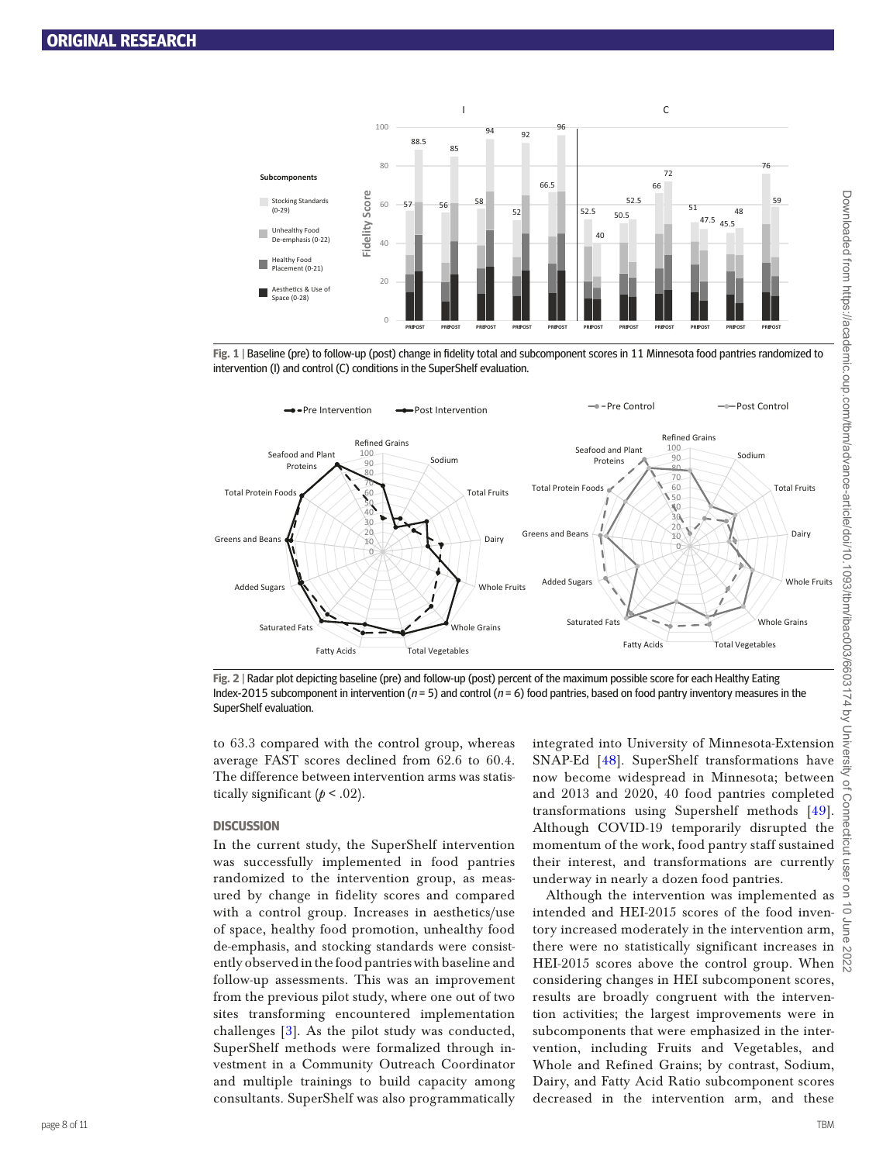

**Fig. 1** | Baseline (pre) to follow-up (post) change in fdelity total and subcomponent scores in 11 Minnesota food pantries randomized to intervention (I) and control (C) conditions in the SuperShelf evaluation.



<span id="page-7-0"></span>**Fig. 2** | Radar plot depicting baseline (pre) and follow-up (post) percent of the maximum possible score for each Healthy Eating Index-2015 subcomponent in intervention ( $n = 5$ ) and control ( $n = 6$ ) food pantries, based on food pantry inventory measures in the SuperShelf evaluation.

to 63.3 compared with the control group, whereas average FAST scores declined from 62.6 to 60.4. The difference between intervention arms was statistically significant  $(p < .02)$ .

#### **DISCUSSION**

In the current study, the SuperShelf intervention was successfully implemented in food pantries randomized to the intervention group, as measured by change in fidelity scores and compared with a control group. Increases in aesthetics/use of space, healthy food promotion, unhealthy food de-emphasis, and stocking standards were consistently observed in the food pantries with baseline and follow-up assessments. This was an improvement from the previous pilot study, where one out of two sites transforming encountered implementation challenges [[3\]](#page-10-2). As the pilot study was conducted, SuperShelf methods were formalized through investment in a Community Outreach Coordinator and multiple trainings to build capacity among consultants. SuperShelf was also programmatically

integrated into University of Minnesota-Extension SNAP-Ed [48]. SuperShelf transformations have now become widespread in Minnesota; between and 2013 and 2020, 40 food pantries completed transformations using Supershelf methods [49]. Although COVID-19 temporarily disrupted the momentum of the work, food pantry staff sustained their interest, and transformations are currently underway in nearly a dozen food pantries.

Although the intervention was implemented as intended and HEI-2015 scores of the food inventory increased moderately in the intervention arm, there were no statistically significant increases in there were no statistically significant increases in  $\frac{60}{100}$ <br>HEI-2015 scores above the control group. When  $\frac{60}{100}$ considering changes in HEI subcomponent scores, results are broadly congruent with the intervention activities; the largest improvements were in subcomponents that were emphasized in the intervention, including Fruits and Vegetables, and Whole and Refined Grains; by contrast, Sodium, Dairy, and Fatty Acid Ratio subcomponent scores decreased in the intervention arm, and these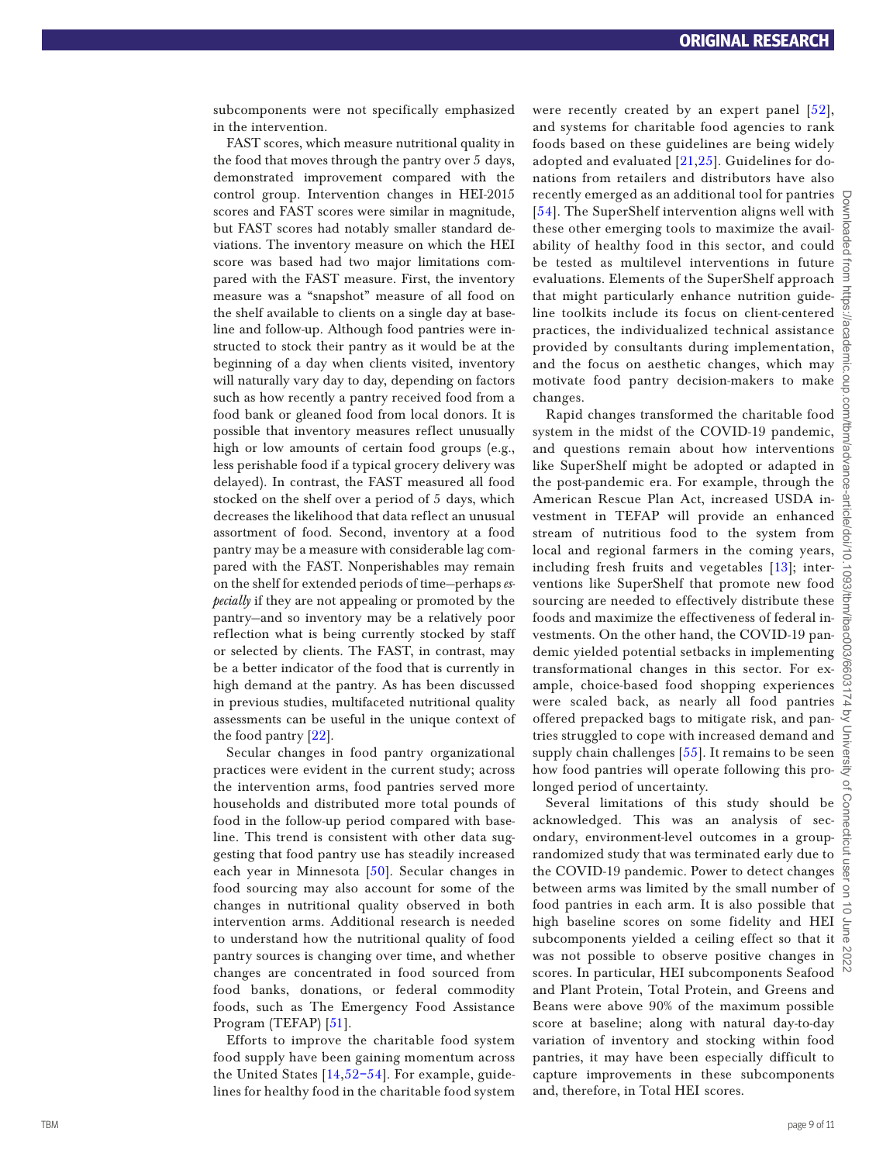subcomponents were not specifically emphasized in the intervention.

<span id="page-8-0"></span>FAST scores, which measure nutritional quality in the food that moves through the pantry over 5 days, demonstrated improvement compared with the control group. Intervention changes in HEI-2015 scores and FAST scores were similar in magnitude, but FAST scores had notably smaller standard de viations. The inventory measure on which the HEI score was based had two major limitations com pared with the FAST measure. First, the inventory measure was a "snapshot" measure of all food on the shelf available to clients on a single day at base line and follow-up. Although food pantries were in structed to stock their pantry as it would be at the beginning of a day when clients visited, inventory will naturally vary day to day, depending on factors such as how recently a pantry received food from a food bank or gleaned food from local donors. It is possible that inventory measures reflect unusually high or low amounts of certain food groups (e.g., less perishable food if a typical grocery delivery was delayed). In contrast, the FAST measured all food stocked on the shelf over a period of 5 days, which decreases the likelihood that data reflect an unusual assortment of food. Second, inventory at a food pantry may be a measure with considerable lag com pared with the FAST. Nonperishables may remain on the shelf for extended periods of time—perhaps *especially* if they are not appealing or promoted by the pantry—and so inventory may be a relatively poor reflection what is being currently stocked by staff or selected by clients. The FAST, in contrast, may be a better indicator of the food that is currently in high demand at the pantry. As has been discussed in previous studies, multifaceted nutritional quality assessments can be useful in the unique context of the food pantry [[22\]](#page-10-11).

Secular changes in food pantry organizational practices were evident in the current study; across the intervention arms, food pantries served more households and distributed more total pounds of food in the follow-up period compared with base line. This trend is consistent with other data suggesting that food pantry use has steadily increased each year in Minnesota [50]. Secular changes in food sourcing may also account for some of the changes in nutritional quality observed in both intervention arms. Additional research is needed to understand how the nutritional quality of food pantry sources is changing over time, and whether changes are concentrated in food sourced from food banks, donations, or federal commodity foods, such as The Emergency Food Assistance Program (TEFAP) [51].

<span id="page-8-3"></span>Efforts to improve the charitable food system food supply have been gaining momentum across the United States [14 ,[52](#page-10-26) [–54\]](#page-10-27). For example, guide lines for healthy food in the charitable food system <span id="page-8-2"></span><span id="page-8-1"></span>were recently created by an expert panel [\[52\]](#page-10-26), and systems for charitable food agencies to rank foods based on these guidelines are being widely adopted and evaluated  $[21,25]$  $[21,25]$  $[21,25]$ . Guidelines for donations from retailers and distributors have also recently emerged as an additional tool for pantries  $\bigcup_{n=1}^{\infty}$ <br>[\[54\]](#page-10-27). The SuperShelf intervention aligns well with  $\leq$ these other emerging tools to maximize the avail ability of healthy food in this sector, and could  $\frac{6}{9}$ be tested as multilevel interventions in future evaluations. Elements of the SuperShelf approach that might particularly enhance nutrition guide line toolkits include its focus on client-centered practices, the individualized technical assistance provided by consultants during implementation, and the focus on aesthetic changes, which may motivate food pantry decision-makers to make changes.

Rapid changes transformed the charitable food system in the midst of the COVID-19 pandemic, and questions remain about how interventions like SuperShelf might be adopted or adapted in the post-pandemic era. For example, through the American Rescue Plan Act, increased USDA in vestment in TEFAP will provide an enhanced stream of nutritious food to the system from local and regional farmers in the coming years, including fresh fruits and vegetables [13]; inter including fresh fruits and vegetables  $[13]$ ; intervalsions like SuperShelf that promote new food  $\frac{60}{60}$ sourcing are needed to effectively distribute these foods and maximize the effectiveness of federal in vestments. On the other hand, the COVID-19 pan demic yielded potential setbacks in implementing transformational changes in this sector. For ex ample, choice-based food shopping experiences were scaled back, as nearly all food pantries  $\overrightarrow{a}$ offered prepacked bags to mitigate risk, and pan tries struggled to cope with increased demand and supply chain challenges [\[55\]](#page-10-30). It remains to be seen how food pantries will operate following this pro longed period of uncertainty.

<span id="page-8-4"></span>Several limitations of this study should be acknowledged. This was an analysis of sec ondary, environment-level outcomes in a grouprandomized study that was terminated early due to the COVID-19 pandemic. Power to detect changes  $\frac{5}{9}$ between arms was limited by the small number of food pantries in each arm. It is also possible that  $\frac{1}{x}$ high baseline scores on some fidelity and HEI subcomponents yielded a ceiling effect so that it  $\vec{\theta}$ was not possible to observe positive changes in  $\frac{8}{60}$ scores. In particular, HEI subcomponents Seafood and Plant Protein, Total Protein, and Greens and Beans were above 90% of the maximum possible score at baseline; along with natural day-to-day variation of inventory and stocking within food pantries, it may have been especially difficult to capture improvements in these subcomponents and, therefore, in Total HEI scores.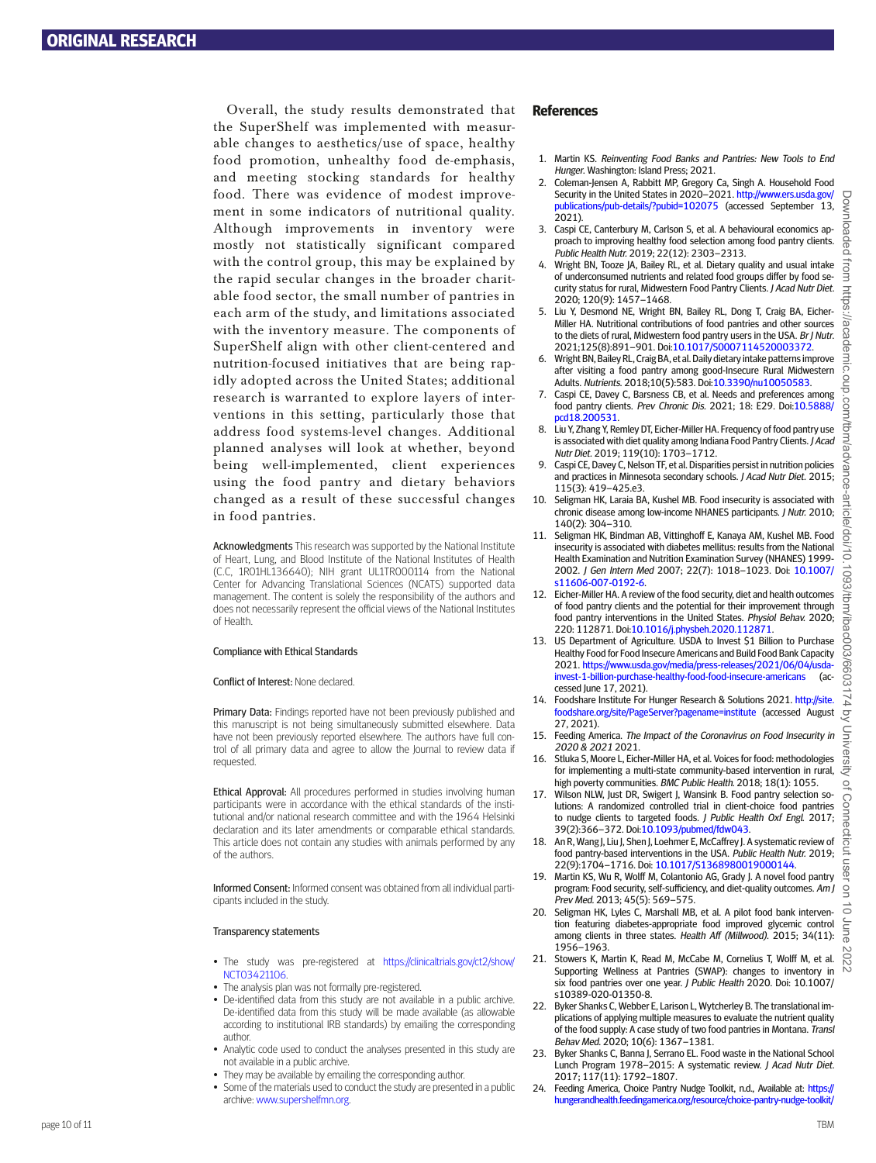Overall, the study results demonstrated that the SuperShelf was implemented with measurable changes to aesthetics/use of space, healthy food promotion, unhealthy food de-emphasis, and meeting stocking standards for healthy food. There was evidence of modest improvement in some indicators of nutritional quality. Although improvements in inventory were mostly not statistically significant compared with the control group, this may be explained by the rapid secular changes in the broader charitable food sector, the small number of pantries in each arm of the study, and limitations associated with the inventory measure. The components of SuperShelf align with other client-centered and nutrition-focused initiatives that are being rapidly adopted across the United States; additional research is warranted to explore layers of interventions in this setting, particularly those that address food systems-level changes. Additional planned analyses will look at whether, beyond being well-implemented, client experiences using the food pantry and dietary behaviors changed as a result of these successful changes in food pantries.

Acknowledgments This research was supported by the National Institute of Heart, Lung, and Blood Institute of the National Institutes of Health (C.C, 1R01HL136640); NIH grant UL1TR000114 from the National Center for Advancing Translational Sciences (NCATS) supported data management. The content is solely the responsibility of the authors and does not necessarily represent the official views of the National Institutes of Health.

#### Compliance with Ethical Standards

#### Confict of Interest: None declared.

Primary Data: Findings reported have not been previously published and this manuscript is not being simultaneously submitted elsewhere. Data have not been previously reported elsewhere. The authors have full control of all primary data and agree to allow the Journal to review data if requested.

Ethical Approval: All procedures performed in studies involving human participants were in accordance with the ethical standards of the institutional and/or national research committee and with the 1964 Helsinki declaration and its later amendments or comparable ethical standards. This article does not contain any studies with animals performed by any of the authors.

Informed Consent: Informed consent was obtained from all individual participants included in the study.

#### Transparency statements

- The study was pre-registered at [https://clinicaltrials.gov/ct2/show/](https://clinicaltrials.gov/ct2/show/NCT03421106) [NCT03421106.](https://clinicaltrials.gov/ct2/show/NCT03421106)
- The analysis plan was not formally pre-registered.
- De-identifed data from this study are not available in a public archive. De-identifed data from this study will be made available (as allowable according to institutional IRB standards) by emailing the corresponding author.
- Analytic code used to conduct the analyses presented in this study are not available in a public archive.
- They may be available by emailing the corresponding author.
- Some of the materials used to conduct the study are presented in a public archive: [www.supershelfmn.org](https://www.supershelfmn.org).

#### **References**

- 1. [Martin](#page-0-6) KS. Reinventing Food Banks and Pantries: New Tools to End Hunger. Washington: Island Press; 2021.
- 2. [Coleman-Jensen](#page-0-7) A, Rabbitt MP, Gregory Ca, Singh A. Household Food Security in the United States in 2020–2021. [http://www.ers.usda.gov/](http://www.ers.usda.gov/publications/pub-details/?pubid=102075) [publications/pub-details/?pubid=102075](http://www.ers.usda.gov/publications/pub-details/?pubid=102075) (accessed September 13, 2021).
- 3. Caspi [CE, Canterbury](#page-0-8) M, Carlson S, et al. A behavioural economics approach to improving healthy food selection among food pantry clients. Public Health Nutr. 2019; 22(12): 2303–2313.
- 4. Wright BN, Tooze JA, Bailey RL, et al. Dietary quality and usual intake of underconsumed nutrients and related food groups difer by food security status for rural, Midwestern Food Pantry Clients. J Acad Nutr Diet. 2020; 120(9): 1457–1468.
- 5. Liu [Y, Desmond](#page-0-9) NE, Wright BN, Bailey RL, Dong T, Craig BA, Eicher-[Miller](#page-0-9) HA. Nutritional contributions of food pantries and other sources to the diets of rural, Midwestern food pantry users in the USA. Br J Nutr. 2021;125(8):891–901. Doi:[10.1017/S0007114520003372](https://doi.org/10.1017/S0007114520003372).
- 6. Wright [BN, Bailey](#page-0-8) RL, Craig BA, et al. Daily dietary intake patterns improve after visiting a food pantry among good-Insecure Rural Midwestern Adults. Nutrients. 2018;10(5):583. Doi:[10.3390/nu10050583](https://doi.org/10.3390/nu10050583).
- 7. Caspi CE, Davey [C, Barsness](#page-0-10) CB, et al. Needs and preferences among food pantry clients. Prev Chronic Dis. 2021; 18: E29. Doi:[10.5888/](https://doi.org/10.5888/pcd18.200531) [pcd18.200531.](https://doi.org/10.5888/pcd18.200531)
- 8. Liu Y, Zhang Y, Remley [DT, Eicher-Miller](#page-0-11) HA. Frequency of food pantry use is associated with diet quality among Indiana Food Pantry Clients. J Acad Nutr Diet. 2019; 119(10): 1703–1712.
- 9. Caspi [CE, Davey](#page-0-12) C, Nelson TF, et al. Disparities persist in nutrition policies and practices in Minnesota secondary schools. J Acad Nutr Diet. 2015; 115(3): 419–425.e3.
- 10. Seligman HK, Laraia [BA, Kushel](#page-0-13) MB. Food insecurity is associated with chronic disease among low-income NHANES participants. J Nutr. 2010; 140(2): 304–310.
- 11. Seligman HK, Bindman AB, Vittinghof E, Kanaya AM, Kushel MB. Food insecurity is associated with diabetes mellitus: results from the National Health Examination and Nutrition Examination Survey (NHANES) 1999- 2002. J Gen Intern Med 2007; 22(7): 1018–1023. Doi: [10.1007/](https://doi.org/10.1007/s11606-007-0192-6) [s11606-007-0192-6](https://doi.org/10.1007/s11606-007-0192-6).
- 12. [Eicher-Miller](#page-0-13) HA. A review of the food security, diet and health outcomes of food pantry clients and the potential for their improvement through food pantry interventions in the United States. Physiol Behav. 2020; 220: 112871. Doi:[10.1016/j.physbeh.2020.112871.](https://doi.org/10.1016/j.physbeh.2020.112871)
- 13. US Department of Agriculture. USDA to Invest \$1 Billion to Purchase Healthy Food for Food Insecure Americans and Build Food Bank Capacity 2021. [https://www.usda.gov/media/press-releases/2021/06/04/usda](https://www.usda.gov/media/press-releases/2021/06/04/usda-invest-1-billion-purchase-healthy-food-food-insecure-americans)[invest-1-billion-purchase-healthy-food-food-insecure-americans](https://www.usda.gov/media/press-releases/2021/06/04/usda-invest-1-billion-purchase-healthy-food-food-insecure-americans) (accessed June 17, 2021).
- 14. Foodshare Institute For Hunger Research & Solutions 2021. http://site [foodshare.org/site/PageServer?pagename=institute](http://site.foodshare.org/site/PageServer?pagename=institute) (accessed August 27, 2021).
- 15. Feeding America. The Impact of the Coronavirus on Food Insecurity in 2020 & 2021 2021.
- 16. Stluka S, Moore [L, Eicher-Miller](#page-0-14) HA, et al. Voices for food: methodologies for implementing a multi-state community-based intervention in rural, high poverty communities. BMC Public Health. 2018; 18(1): 1055.
- 17. Wilson NLW, Just [DR, Swigert](#page-1-0) J, Wansink B. Food pantry selection solutions: A randomized controlled trial in client-choice food pantries to nudge clients to targeted foods. J Public Health Oxf Engl. 2017; 39(2):366–372. Doi:[10.1093/pubmed/fdw043](https://doi.org/10.1093/pubmed/fdw043).
- 18. An R, Wang J, Liu J, Shen J, Loehmer [E, McCafrey](#page-1-1) J. A systematic review of food pantry-based interventions in the USA. Public Health Nutr. 2019; 22(9):1704–1716. Doi: [10.1017/S1368980019000144](https://doi.org/10.1017/S1368980019000144).
- 19. Martin KS, Wu R, Wolff M, Colantonio AG, Grady I, A novel food pantry program: Food security, self-sufficiency, and diet-quality outcomes. Am J Prev Med. 2013; 45(5): 569–575.
- 20. Seligman HK, Lyles C, Marshall MB, et al. A pilot food bank intervention featuring diabetes-appropriate food improved glycemic control among clients in three states. Health Aff (Millwood). 2015; 34(11): 1956–1963.
- 21. Stowers K, Martin K, Read M, McCabe [M, Cornelius](#page-8-1) T, Wolf M, et al. Supporting Wellness at Pantries (SWAP): changes to inventory in six food pantries over one year. J Public Health 2020. Doi: 10.1007/ s10389-020-01350-8.
- 22. Byker Shanks C, Webber E, Larison [L, Wytcherley](#page-0-14) B. The translational implications of applying multiple measures to evaluate the nutrient quality of the food supply: A case study of two food pantries in Montana. Transl Behav Med. 2020; 10(6): 1367–1381.
- 23. Byker Shanks C, Banna [J, Serrano](#page-1-2) EL. Food waste in the National School Lunch Program 1978–2015: A systematic review. J Acad Nutr Diet. 2017; 117(11): 1792–1807.
- 24. Feeding America, Choice Pantry Nudge Toolkit, n.d., Available at: [https://](https://hungerandhealth.feedingamerica.org/resource/choice-pantry-nudge-toolkit/) [hungerandhealth.feedingamerica.org/resource/choice-pantry-nudge-toolkit/](https://hungerandhealth.feedingamerica.org/resource/choice-pantry-nudge-toolkit/)

Devriloaded